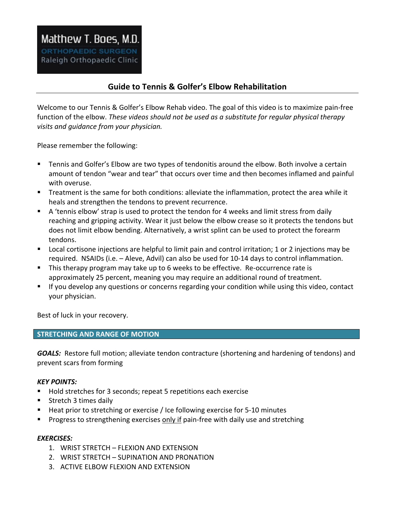# **Guide to Tennis & Golfer's Elbow Rehabilitation**

Welcome to our Tennis & Golfer's Elbow Rehab video. The goal of this video is to maximize pain-free function of the elbow. *These videos should not be used as a substitute for regular physical therapy visits* and guidance from your physician.

Please remember the following:

- " Tennis and Golfer's Elbow are two types of tendonitis around the elbow. Both involve a certain amount of tendon "wear and tear" that occurs over time and then becomes inflamed and painful with overuse.
- " Treatment is the same for both conditions: alleviate the inflammation, protect the area while it heals and strengthen the tendons to prevent recurrence.
- " A 'tennis elbow' strap is used to protect the tendon for 4 weeks and limit stress from daily reaching and gripping activity. Wear it just below the elbow crease so it protects the tendons but does not limit elbow bending. Alternatively, a wrist splint can be used to protect the forearm tendons.
- " Local cortisone injections are helpful to limit pain and control irritation; 1 or 2 injections may be required. NSAIDs (i.e. - Aleve, Advil) can also be used for 10-14 days to control inflammation.
- **This therapy program may take up to 6 weeks to be effective. Re-occurrence rate is** approximately 25 percent, meaning you may require an additional round of treatment.
- " If you develop any questions or concerns regarding your condition while using this video, contact your physician.

Best of luck in your recovery.

## **STRETCHING AND RANGE OF MOTION**

**GOALS:** Restore full motion; alleviate tendon contracture (shortening and hardening of tendons) and prevent scars from forming

## *KEY POINTS:*

- Hold stretches for 3 seconds; repeat 5 repetitions each exercise
- Stretch 3 times daily
- $\blacksquare$  Heat prior to stretching or exercise / Ice following exercise for 5-10 minutes
- **Progress to strengthening exercises only if pain-free with daily use and stretching**

## *EXERCISES:*

- 1. WRIST STRETCH FLEXION AND EXTENSION
- 2. WRIST STRETCH SUPINATION AND PRONATION
- 3. ACTIVE ELBOW FLEXION AND EXTENSION